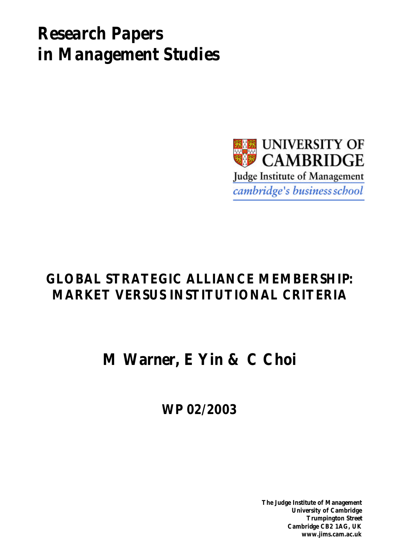# *Research Papers in Management Studies*



# **GLOBAL STRATEGIC ALLIANCE MEMBERSHIP: MARKET VERSUS INSTITUTIONAL CRITERIA**

**M Warner, E Yin & C Choi**

**WP 02/2003**

**The Judge Institute of Management University of Cambridge Trumpington Street Cambridge CB2 1AG, UK www.jims.cam.ac.uk**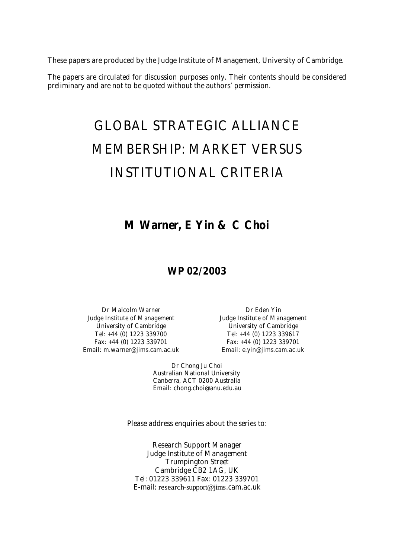These papers are produced by the Judge Institute of Management, University of Cambridge.

The papers are circulated for discussion purposes only. Their contents should be considered preliminary and are not to be quoted without the authors' permission.

# GLOBAL STRATEGIC ALLIANCE MEMBERSHIP: MARKET VERSUS INSTITUTIONAL CRITERIA

## **M Warner, E Yin & C Choi**

## **WP 02/2003**

Dr Malcolm Warner **Dr Eden Yin** Judge Institute of Management Judge Institute of Management University of Cambridge University of Cambridge Tel: +44 (0) 1223 339700 Tel: +44 (0) 1223 339617 Fax: +44 (0) 1223 339701 Fax: +44 (0) 1223 339701 Email: m.warner@jims.cam.ac.uk Email: e.yin@jims.cam.ac.uk

Dr Chong Ju Choi Australian National University Canberra, ACT 0200 Australia Email: chong.choi@anu.edu.au

Please address enquiries about the series to:

Research Support Manager Judge Institute of Management Trumpington Street Cambridge CB2 1AG, UK Tel: 01223 339611 Fax: 01223 339701 E-mail: research-support@jims.cam.ac.uk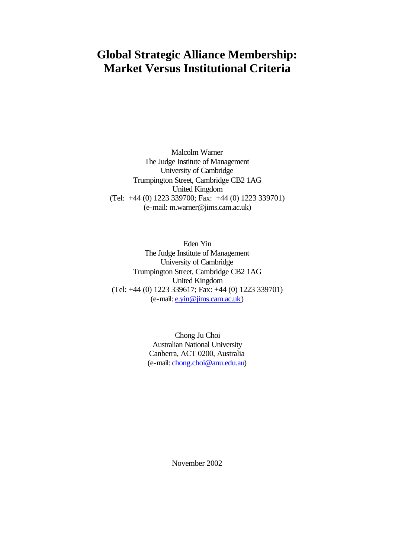# **Global Strategic Alliance Membership: Market Versus Institutional Criteria**

Malcolm Warner The Judge Institute of Management University of Cambridge Trumpington Street, Cambridge CB2 1AG United Kingdom (Tel: +44 (0) 1223 339700; Fax: +44 (0) 1223 339701) (e-mail: m.warner@jims.cam.ac.uk)

Eden Yin The Judge Institute of Management University of Cambridge Trumpington Street, Cambridge CB2 1AG United Kingdom (Tel: +44 (0) 1223 339617; Fax: +44 (0) 1223 339701) (e-mail: e.yin@jims.cam.ac.uk)

> Chong Ju Choi Australian National University Canberra, ACT 0200, Australia (e-mail: chong.choi@anu.edu.au)

> > November 2002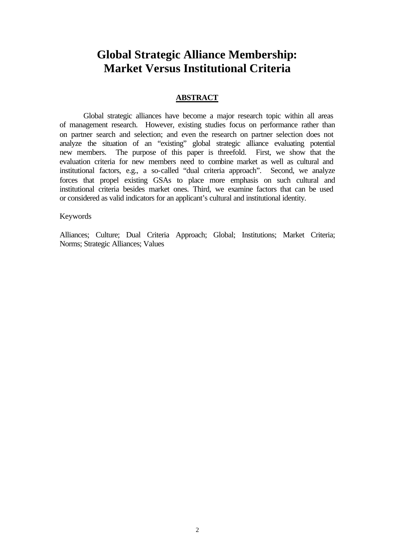## **Global Strategic Alliance Membership: Market Versus Institutional Criteria**

## **ABSTRACT**

Global strategic alliances have become a major research topic within all areas of management research. However, existing studies focus on performance rather than on partner search and selection; and even the research on partner selection does not analyze the situation of an "existing" global strategic alliance evaluating potential new members. The purpose of this paper is threefold. First, we show that the evaluation criteria for new members need to combine market as well as cultural and institutional factors, e.g., a so-called "dual criteria approach". Second, we analyze forces that propel existing GSAs to place more emphasis on such cultural and institutional criteria besides market ones. Third, we examine factors that can be used or considered as valid indicators for an applicant's cultural and institutional identity.

## Keywords

Alliances; Culture; Dual Criteria Approach; Global; Institutions; Market Criteria; Norms; Strategic Alliances; Values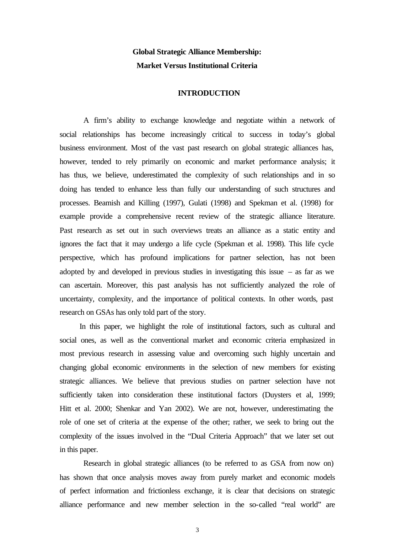## **Global Strategic Alliance Membership: Market Versus Institutional Criteria**

## **INTRODUCTION**

A firm's ability to exchange knowledge and negotiate within a network of social relationships has become increasingly critical to success in today's global business environment. Most of the vast past research on global strategic alliances has, however, tended to rely primarily on economic and market performance analysis; it has thus, we believe, underestimated the complexity of such relationships and in so doing has tended to enhance less than fully our understanding of such structures and processes. Beamish and Killing (1997), Gulati (1998) and Spekman et al. (1998) for example provide a comprehensive recent review of the strategic alliance literature. Past research as set out in such overviews treats an alliance as a static entity and ignores the fact that it may undergo a life cycle (Spekman et al. 1998). This life cycle perspective, which has profound implications for partner selection, has not been adopted by and developed in previous studies in investigating this issue  $-$  as far as we can ascertain. Moreover, this past analysis has not sufficiently analyzed the role of uncertainty, complexity, and the importance of political contexts. In other words, past research on GSAs has only told part of the story.

 In this paper, we highlight the role of institutional factors, such as cultural and social ones, as well as the conventional market and economic criteria emphasized in most previous research in assessing value and overcoming such highly uncertain and changing global economic environments in the selection of new members for existing strategic alliances. We believe that previous studies on partner selection have not sufficiently taken into consideration these institutional factors (Duysters et al, 1999; Hitt et al. 2000; Shenkar and Yan 2002). We are not, however, underestimating the role of one set of criteria at the expense of the other; rather, we seek to bring out the complexity of the issues involved in the "Dual Criteria Approach" that we later set out in this paper.

Research in global strategic alliances (to be referred to as GSA from now on) has shown that once analysis moves away from purely market and economic models of perfect information and frictionless exchange, it is clear that decisions on strategic alliance performance and new member selection in the so-called "real world" are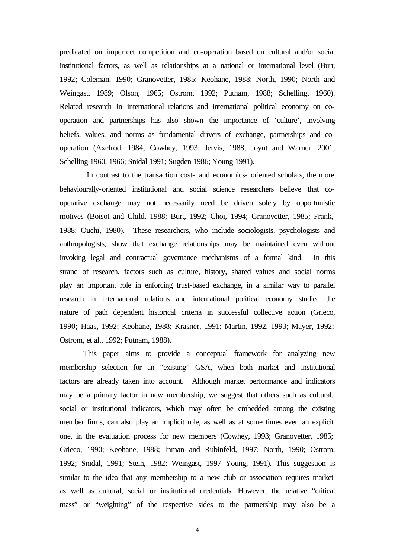predicated on imperfect competition and co-operation based on cultural and/or social institutional factors, as well as relationships at a national or international level (Burt, 1992; Coleman, 1990; Granovetter, 1985; Keohane, 1988; North, 1990; North and Weingast, 1989; Olson, 1965; Ostrom, 1992; Putnam, 1988; Schelling, 1960). Related research in international relations and international political economy on cooperation and partnerships has also shown the importance of 'culture', involving beliefs, values, and norms as fundamental drivers of exchange, partnerships and cooperation (Axelrod, 1984; Cowhey, 1993; Jervis, 1988; Joynt and Warner, 2001; Schelling 1960, 1966; Snidal 1991; Sugden 1986; Young 1991).

 In contrast to the transaction cost- and economics- oriented scholars, the more behaviourally-oriented institutional and social science researchers believe that cooperative exchange may not necessarily need be driven solely by opportunistic motives (Boisot and Child, 1988; Burt, 1992; Choi, 1994; Granovetter, 1985; Frank, 1988; Ouchi, 1980). These researchers, who include sociologists, psychologists and anthropologists, show that exchange relationships may be maintained even without invoking legal and contractual governance mechanisms of a formal kind. In this strand of research, factors such as culture, history, shared values and social norms play an important role in enforcing trust-based exchange, in a similar way to parallel research in international relations and international political economy studied the nature of path dependent historical criteria in successful collective action (Grieco, 1990; Haas, 1992; Keohane, 1988; Krasner, 1991; Martin, 1992, 1993; Mayer, 1992; Ostrom, et al., 1992; Putnam, 1988).

This paper aims to provide a conceptual framework for analyzing new membership selection for an "existing" GSA, when both market and institutional factors are already taken into account. Although market performance and indicators may be a primary factor in new membership, we suggest that others such as cultural, social or institutional indicators, which may often be embedded among the existing member firms, can also play an implicit role, as well as at some times even an explicit one, in the evaluation process for new members (Cowhey, 1993; Granovetter, 1985; Grieco, 1990; Keohane, 1988; Inman and Rubinfeld, 1997; North, 1990; Ostrom, 1992; Snidal, 1991; Stein, 1982; Weingast, 1997 Young, 1991). This suggestion is similar to the idea that any membership to a new club or association requires market as well as cultural, social or institutional credentials. However, the relative "critical mass" or "weighting" of the respective sides to the partnership may also be a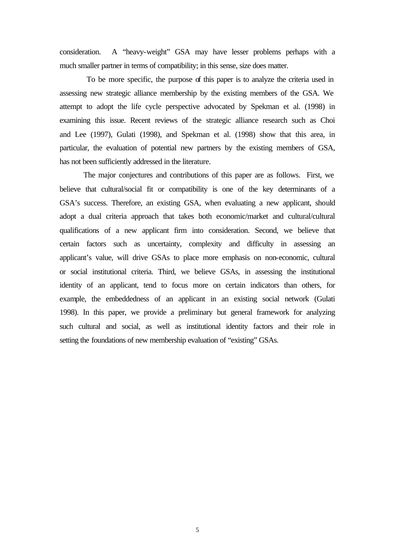consideration. A "heavy-weight" GSA may have lesser problems perhaps with a much smaller partner in terms of compatibility; in this sense, size does matter.

 To be more specific, the purpose of this paper is to analyze the criteria used in assessing new strategic alliance membership by the existing members of the GSA. We attempt to adopt the life cycle perspective advocated by Spekman et al. (1998) in examining this issue. Recent reviews of the strategic alliance research such as Choi and Lee (1997), Gulati (1998), and Spekman et al. (1998) show that this area, in particular, the evaluation of potential new partners by the existing members of GSA, has not been sufficiently addressed in the literature.

The major conjectures and contributions of this paper are as follows. First, we believe that cultural/social fit or compatibility is one of the key determinants of a GSA's success. Therefore, an existing GSA, when evaluating a new applicant, should adopt a dual criteria approach that takes both economic/market and cultural/cultural qualifications of a new applicant firm into consideration. Second, we believe that certain factors such as uncertainty, complexity and difficulty in assessing an applicant's value, will drive GSAs to place more emphasis on non-economic, cultural or social institutional criteria. Third, we believe GSAs, in assessing the institutional identity of an applicant, tend to focus more on certain indicators than others, for example, the embeddedness of an applicant in an existing social network (Gulati 1998). In this paper, we provide a preliminary but general framework for analyzing such cultural and social, as well as institutional identity factors and their role in setting the foundations of new membership evaluation of "existing" GSAs.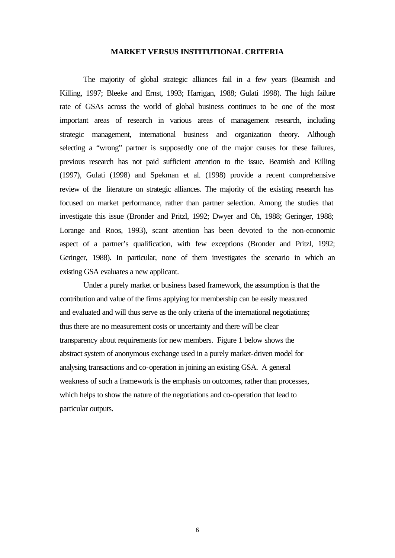## **MARKET VERSUS INSTITUTIONAL CRITERIA**

The majority of global strategic alliances fail in a few years (Beamish and Killing, 1997; Bleeke and Ernst, 1993; Harrigan, 1988; Gulati 1998). The high failure rate of GSAs across the world of global business continues to be one of the most important areas of research in various areas of management research, including strategic management, international business and organization theory. Although selecting a "wrong" partner is supposedly one of the major causes for these failures, previous research has not paid sufficient attention to the issue. Beamish and Killing (1997), Gulati (1998) and Spekman et al. (1998) provide a recent comprehensive review of the literature on strategic alliances. The majority of the existing research has focused on market performance, rather than partner selection. Among the studies that investigate this issue (Bronder and Pritzl, 1992; Dwyer and Oh, 1988; Geringer, 1988; Lorange and Roos, 1993), scant attention has been devoted to the non-economic aspect of a partner's qualification, with few exceptions (Bronder and Pritzl, 1992; Geringer, 1988). In particular, none of them investigates the scenario in which an existing GSA evaluates a new applicant.

Under a purely market or business based framework, the assumption is that the contribution and value of the firms applying for membership can be easily measured and evaluated and will thus serve as the only criteria of the international negotiations; thus there are no measurement costs or uncertainty and there will be clear transparency about requirements for new members. Figure 1 below shows the abstract system of anonymous exchange used in a purely market-driven model for analysing transactions and co-operation in joining an existing GSA. A general weakness of such a framework is the emphasis on outcomes, rather than processes, which helps to show the nature of the negotiations and co-operation that lead to particular outputs.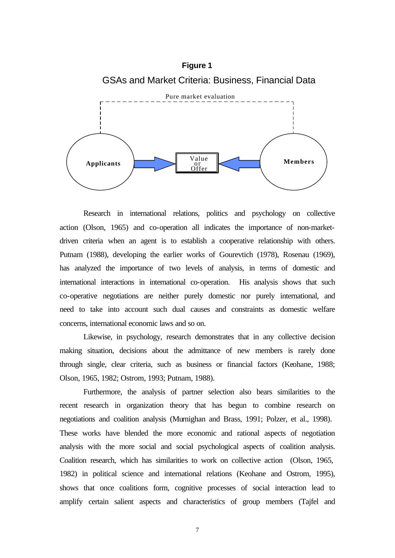

Research in international relations, politics and psychology on collective action (Olson, 1965) and co-operation all indicates the importance of non-marketdriven criteria when an agent is to establish a cooperative relationship with others. Putnam (1988), developing the earlier works of Gourevtich (1978), Rosenau (1969), has analyzed the importance of two levels of analysis, in terms of domestic and international interactions in international co-operation. His analysis shows that such co-operative negotiations are neither purely domestic nor purely international, and need to take into account such dual causes and constraints as domestic welfare concerns, international economic laws and so on.

Likewise, in psychology, research demonstrates that in any collective decision making situation, decisions about the admittance of new members is rarely done through single, clear criteria, such as business or financial factors (Keohane, 1988; Olson, 1965, 1982; Ostrom, 1993; Putnam, 1988).

Furthermore, the analysis of partner selection also bears similarities to the recent research in organization theory that has begun to combine research on negotiations and coalition analysis (Murnighan and Brass, 1991; Polzer, et al., 1998). These works have blended the more economic and rational aspects of negotiation analysis with the more social and social psychological aspects of coalition analysis. Coalition research, which has similarities to work on collective action (Olson, 1965, 1982) in political science and international relations (Keohane and Ostrom, 1995), shows that once coalitions form, cognitive processes of social interaction lead to amplify certain salient aspects and characteristics of group members (Tajfel and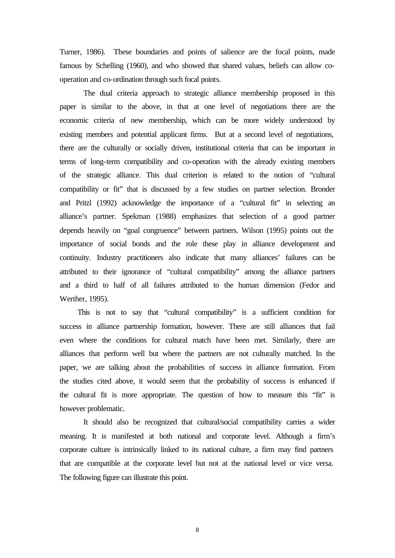Turner, 1986). These boundaries and points of salience are the focal points, made famous by Schelling (1960), and who showed that shared values, beliefs can allow cooperation and co-ordination through such focal points.

The dual criteria approach to strategic alliance membership proposed in this paper is similar to the above, in that at one level of negotiations there are the economic criteria of new membership, which can be more widely understood by existing members and potential applicant firms. But at a second level of negotiations, there are the culturally or socially driven, institutional criteria that can be important in terms of long-term compatibility and co-operation with the already existing members of the strategic alliance. This dual criterion is related to the notion of "cultural compatibility or fit" that is discussed by a few studies on partner selection. Bronder and Pritzl (1992) acknowledge the importance of a "cultural fit" in selecting an alliance's partner. Spekman (1988) emphasizes that selection of a good partner depends heavily on "goal congruence" between partners. Wilson (1995) points out the importance of social bonds and the role these play in alliance development and continuity. Industry practitioners also indicate that many alliances' failures can be attributed to their ignorance of "cultural compatibility" among the alliance partners and a third to half of all failures attributed to the human dimension (Fedor and Werther, 1995).

 This is not to say that "cultural compatibility" is a sufficient condition for success in alliance partnership formation, however. There are still alliances that fail even where the conditions for cultural match have been met. Similarly, there are alliances that perform well but where the partners are not culturally matched. In the paper, we are talking about the probabilities of success in alliance formation. From the studies cited above, it would seem that the probability of success is enhanced if the cultural fit is more appropriate. The question of how to measure this "fit" is however problematic.

It should also be recognized that cultural/social compatibility carries a wider meaning. It is manifested at both national and corporate level. Although a firm's corporate culture is intrinsically linked to its national culture, a firm may find partners that are compatible at the corporate level but not at the national level or vice versa. The following figure can illustrate this point.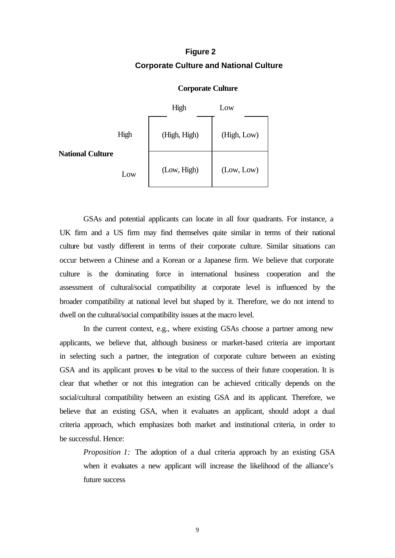## **Figure 2 Corporate Culture and National Culture**



## **Corporate Culture**

GSAs and potential applicants can locate in all four quadrants. For instance, a UK firm and a US firm may find themselves quite similar in terms of their national culture but vastly different in terms of their corporate culture. Similar situations can occur between a Chinese and a Korean or a Japanese firm. We believe that corporate culture is the dominating force in international business cooperation and the assessment of cultural/social compatibility at corporate level is influenced by the broader compatibility at national level but shaped by it. Therefore, we do not intend to dwell on the cultural/social compatibility issues at the macro level.

In the current context, e.g., where existing GSAs choose a partner among new applicants, we believe that, although business or market-based criteria are important in selecting such a partner, the integration of corporate culture between an existing GSA and its applicant proves to be vital to the success of their future cooperation. It is clear that whether or not this integration can be achieved critically depends on the social/cultural compatibility between an existing GSA and its applicant. Therefore, we believe that an existing GSA, when it evaluates an applicant, should adopt a dual criteria approach, which emphasizes both market and institutional criteria, in order to be successful. Hence:

*Proposition 1:* The adoption of a dual criteria approach by an existing GSA when it evaluates a new applicant will increase the likelihood of the alliance's future success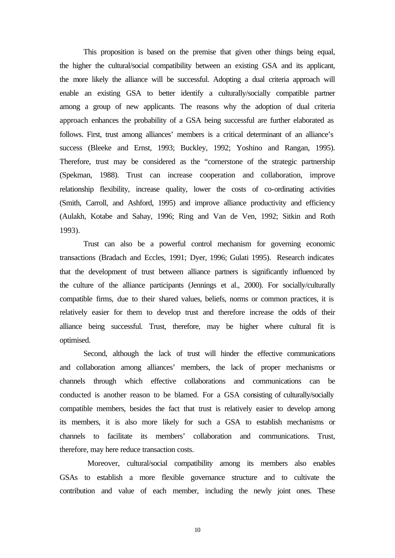This proposition is based on the premise that given other things being equal, the higher the cultural/social compatibility between an existing GSA and its applicant, the more likely the alliance will be successful. Adopting a dual criteria approach will enable an existing GSA to better identify a culturally/socially compatible partner among a group of new applicants. The reasons why the adoption of dual criteria approach enhances the probability of a GSA being successful are further elaborated as follows. First, trust among alliances' members is a critical determinant of an alliance's success (Bleeke and Ernst, 1993; Buckley, 1992; Yoshino and Rangan, 1995). Therefore, trust may be considered as the "cornerstone of the strategic partnership (Spekman, 1988). Trust can increase cooperation and collaboration, improve relationship flexibility, increase quality, lower the costs of co-ordinating activities (Smith, Carroll, and Ashford, 1995) and improve alliance productivity and efficiency (Aulakh, Kotabe and Sahay, 1996; Ring and Van de Ven, 1992; Sitkin and Roth 1993).

Trust can also be a powerful control mechanism for governing economic transactions (Bradach and Eccles, 1991; Dyer, 1996; Gulati 1995). Research indicates that the development of trust between alliance partners is significantly influenced by the culture of the alliance participants (Jennings et al., 2000). For socially/culturally compatible firms, due to their shared values, beliefs, norms or common practices, it is relatively easier for them to develop trust and therefore increase the odds of their alliance being successful. Trust, therefore, may be higher where cultural fit is optimised.

Second, although the lack of trust will hinder the effective communications and collaboration among alliances' members, the lack of proper mechanisms or channels through which effective collaborations and communications can be conducted is another reason to be blamed. For a GSA consisting of culturally/socially compatible members, besides the fact that trust is relatively easier to develop among its members, it is also more likely for such a GSA to establish mechanisms or channels to facilitate its members' collaboration and communications. Trust, therefore, may here reduce transaction costs.

 Moreover, cultural/social compatibility among its members also enables GSAs to establish a more flexible governance structure and to cultivate the contribution and value of each member, including the newly joint ones. These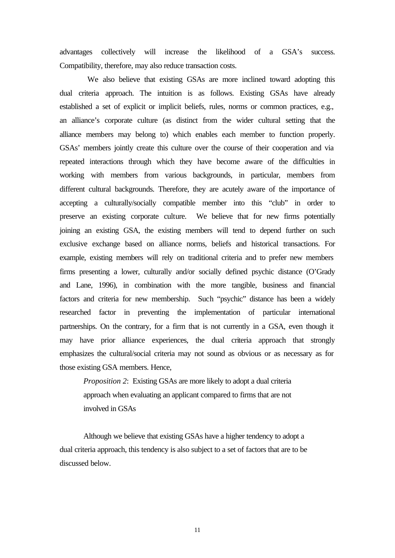advantages collectively will increase the likelihood of a GSA's success. Compatibility, therefore, may also reduce transaction costs.

 We also believe that existing GSAs are more inclined toward adopting this dual criteria approach. The intuition is as follows. Existing GSAs have already established a set of explicit or implicit beliefs, rules, norms or common practices, e.g., an alliance's corporate culture (as distinct from the wider cultural setting that the alliance members may belong to) which enables each member to function properly. GSAs' members jointly create this culture over the course of their cooperation and via repeated interactions through which they have become aware of the difficulties in working with members from various backgrounds, in particular, members from different cultural backgrounds. Therefore, they are acutely aware of the importance of accepting a culturally/socially compatible member into this "club" in order to preserve an existing corporate culture. We believe that for new firms potentially joining an existing GSA, the existing members will tend to depend further on such exclusive exchange based on alliance norms, beliefs and historical transactions. For example, existing members will rely on traditional criteria and to prefer new members firms presenting a lower, culturally and/or socially defined psychic distance (O'Grady and Lane, 1996), in combination with the more tangible, business and financial factors and criteria for new membership. Such "psychic" distance has been a widely researched factor in preventing the implementation of particular international partnerships. On the contrary, for a firm that is not currently in a GSA, even though it may have prior alliance experiences, the dual criteria approach that strongly emphasizes the cultural/social criteria may not sound as obvious or as necessary as for those existing GSA members. Hence,

*Proposition 2*: Existing GSAs are more likely to adopt a dual criteria approach when evaluating an applicant compared to firms that are not involved in GSAs

Although we believe that existing GSAs have a higher tendency to adopt a dual criteria approach, this tendency is also subject to a set of factors that are to be discussed below.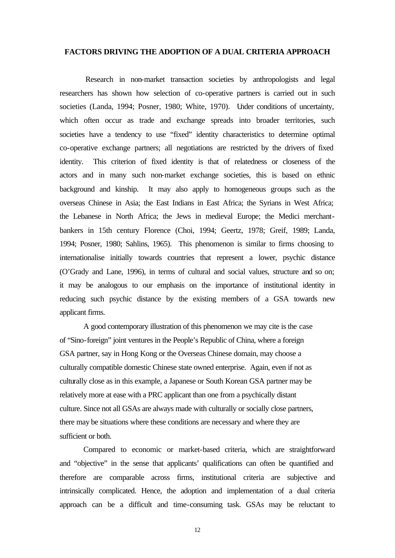## **FACTORS DRIVING THE ADOPTION OF A DUAL CRITERIA APPROACH**

 Research in non-market transaction societies by anthropologists and legal researchers has shown how selection of co-operative partners is carried out in such societies (Landa, 1994; Posner, 1980; White, 1970). Under conditions of uncertainty, which often occur as trade and exchange spreads into broader territories, such societies have a tendency to use "fixed" identity characteristics to determine optimal co-operative exchange partners; all negotiations are restricted by the drivers of fixed identity. This criterion of fixed identity is that of relatedness or closeness of the actors and in many such non-market exchange societies, this is based on ethnic background and kinship. It may also apply to homogeneous groups such as the overseas Chinese in Asia; the East Indians in East Africa; the Syrians in West Africa; the Lebanese in North Africa; the Jews in medieval Europe; the Medici merchantbankers in 15th century Florence (Choi, 1994; Geertz, 1978; Greif, 1989; Landa, 1994; Posner, 1980; Sahlins, 1965). This phenomenon is similar to firms choosing to internationalise initially towards countries that represent a lower, psychic distance (O'Grady and Lane, 1996), in terms of cultural and social values, structure and so on; it may be analogous to our emphasis on the importance of institutional identity in reducing such psychic distance by the existing members of a GSA towards new applicant firms.

A good contemporary illustration of this phenomenon we may cite is the case of "Sino-foreign" joint ventures in the People's Republic of China, where a foreign GSA partner, say in Hong Kong or the Overseas Chinese domain, may choose a culturally compatible domestic Chinese state owned enterprise. Again, even if not as culturally close as in this example, a Japanese or South Korean GSA partner may be relatively more at ease with a PRC applicant than one from a psychically distant culture. Since not all GSAs are always made with culturally or socially close partners, there may be situations where these conditions are necessary and where they are sufficient or both.

Compared to economic or market-based criteria, which are straightforward and "objective" in the sense that applicants' qualifications can often be quantified and therefore are comparable across firms, institutional criteria are subjective and intrinsically complicated. Hence, the adoption and implementation of a dual criteria approach can be a difficult and time-consuming task. GSAs may be reluctant to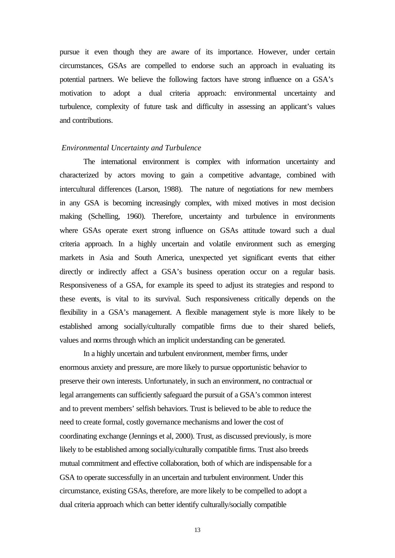pursue it even though they are aware of its importance. However, under certain circumstances, GSAs are compelled to endorse such an approach in evaluating its potential partners. We believe the following factors have strong influence on a GSA's motivation to adopt a dual criteria approach: environmental uncertainty and turbulence, complexity of future task and difficulty in assessing an applicant's values and contributions.

## *Environmental Uncertainty and Turbulence*

The international environment is complex with information uncertainty and characterized by actors moving to gain a competitive advantage, combined with intercultural differences (Larson, 1988). The nature of negotiations for new members in any GSA is becoming increasingly complex, with mixed motives in most decision making (Schelling, 1960). Therefore, uncertainty and turbulence in environments where GSAs operate exert strong influence on GSAs attitude toward such a dual criteria approach. In a highly uncertain and volatile environment such as emerging markets in Asia and South America, unexpected yet significant events that either directly or indirectly affect a GSA's business operation occur on a regular basis. Responsiveness of a GSA, for example its speed to adjust its strategies and respond to these events, is vital to its survival. Such responsiveness critically depends on the flexibility in a GSA's management. A flexible management style is more likely to be established among socially/culturally compatible firms due to their shared beliefs, values and norms through which an implicit understanding can be generated.

In a highly uncertain and turbulent environment, member firms, under enormous anxiety and pressure, are more likely to pursue opportunistic behavior to preserve their own interests. Unfortunately, in such an environment, no contractual or legal arrangements can sufficiently safeguard the pursuit of a GSA's common interest and to prevent members' selfish behaviors. Trust is believed to be able to reduce the need to create formal, costly governance mechanisms and lower the cost of coordinating exchange (Jennings et al, 2000). Trust, as discussed previously, is more likely to be established among socially/culturally compatible firms. Trust also breeds mutual commitment and effective collaboration, both of which are indispensable for a GSA to operate successfully in an uncertain and turbulent environment. Under this circumstance, existing GSAs, therefore, are more likely to be compelled to adopt a dual criteria approach which can better identify culturally/socially compatible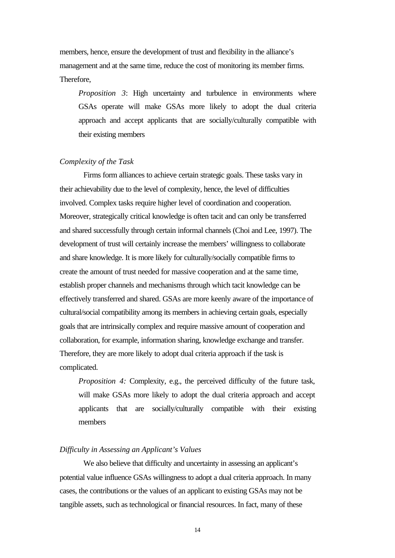members, hence, ensure the development of trust and flexibility in the alliance's management and at the same time, reduce the cost of monitoring its member firms. Therefore,

*Proposition 3*: High uncertainty and turbulence in environments where GSAs operate will make GSAs more likely to adopt the dual criteria approach and accept applicants that are socially/culturally compatible with their existing members

## *Complexity of the Task*

Firms form alliances to achieve certain strategic goals. These tasks vary in their achievability due to the level of complexity, hence, the level of difficulties involved. Complex tasks require higher level of coordination and cooperation. Moreover, strategically critical knowledge is often tacit and can only be transferred and shared successfully through certain informal channels (Choi and Lee, 1997). The development of trust will certainly increase the members' willingness to collaborate and share knowledge. It is more likely for culturally/socially compatible firms to create the amount of trust needed for massive cooperation and at the same time, establish proper channels and mechanisms through which tacit knowledge can be effectively transferred and shared. GSAs are more keenly aware of the importance of cultural/social compatibility among its members in achieving certain goals, especially goals that are intrinsically complex and require massive amount of cooperation and collaboration, for example, information sharing, knowledge exchange and transfer. Therefore, they are more likely to adopt dual criteria approach if the task is complicated.

*Proposition 4:* Complexity, e.g., the perceived difficulty of the future task, will make GSAs more likely to adopt the dual criteria approach and accept applicants that are socially/culturally compatible with their existing members

## *Difficulty in Assessing an Applicant's Values*

We also believe that difficulty and uncertainty in assessing an applicant's potential value influence GSAs willingness to adopt a dual criteria approach. In many cases, the contributions or the values of an applicant to existing GSAs may not be tangible assets, such as technological or financial resources. In fact, many of these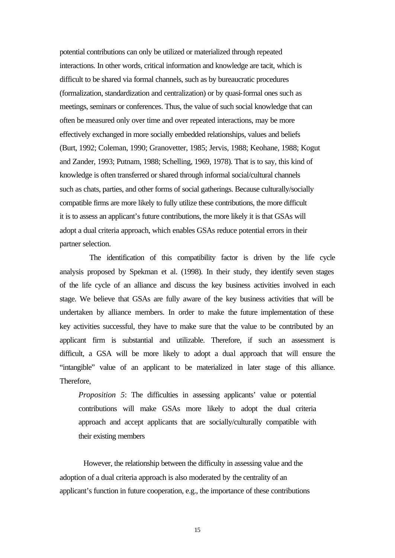potential contributions can only be utilized or materialized through repeated interactions. In other words, critical information and knowledge are tacit, which is difficult to be shared via formal channels, such as by bureaucratic procedures (formalization, standardization and centralization) or by quasi-formal ones such as meetings, seminars or conferences. Thus, the value of such social knowledge that can often be measured only over time and over repeated interactions, may be more effectively exchanged in more socially embedded relationships, values and beliefs (Burt, 1992; Coleman, 1990; Granovetter, 1985; Jervis, 1988; Keohane, 1988; Kogut and Zander, 1993; Putnam, 1988; Schelling, 1969, 1978). That is to say, this kind of knowledge is often transferred or shared through informal social/cultural channels such as chats, parties, and other forms of social gatherings. Because culturally/socially compatible firms are more likely to fully utilize these contributions, the more difficult it is to assess an applicant's future contributions, the more likely it is that GSAs will adopt a dual criteria approach, which enables GSAs reduce potential errors in their partner selection.

 The identification of this compatibility factor is driven by the life cycle analysis proposed by Spekman et al. (1998). In their study, they identify seven stages of the life cycle of an alliance and discuss the key business activities involved in each stage. We believe that GSAs are fully aware of the key business activities that will be undertaken by alliance members. In order to make the future implementation of these key activities successful, they have to make sure that the value to be contributed by an applicant firm is substantial and utilizable. Therefore, if such an assessment is difficult, a GSA will be more likely to adopt a dual approach that will ensure the "intangible" value of an applicant to be materialized in later stage of this alliance. Therefore,

*Proposition 5*: The difficulties in assessing applicants' value or potential contributions will make GSAs more likely to adopt the dual criteria approach and accept applicants that are socially/culturally compatible with their existing members

However, the relationship between the difficulty in assessing value and the adoption of a dual criteria approach is also moderated by the centrality of an applicant's function in future cooperation, e.g., the importance of these contributions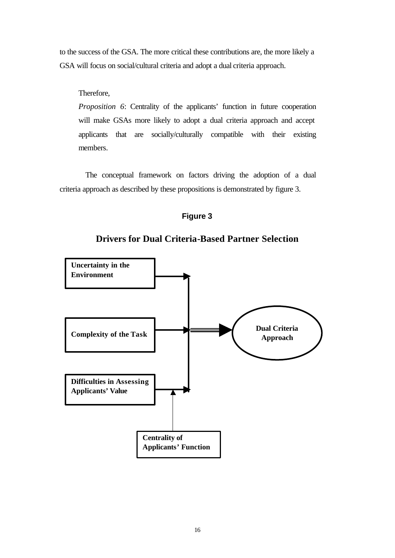to the success of the GSA. The more critical these contributions are, the more likely a GSA will focus on social/cultural criteria and adopt a dual criteria approach.

## Therefore,

*Proposition 6*: Centrality of the applicants' function in future cooperation will make GSAs more likely to adopt a dual criteria approach and accept applicants that are socially/culturally compatible with their existing members.

 The conceptual framework on factors driving the adoption of a dual criteria approach as described by these propositions is demonstrated by figure 3.





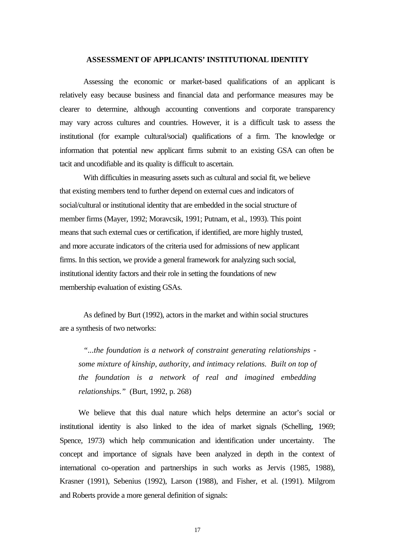### **ASSESSMENT OF APPLICANTS' INSTITUTIONAL IDENTITY**

Assessing the economic or market-based qualifications of an applicant is relatively easy because business and financial data and performance measures may be clearer to determine, although accounting conventions and corporate transparency may vary across cultures and countries. However, it is a difficult task to assess the institutional (for example cultural/social) qualifications of a firm. The knowledge or information that potential new applicant firms submit to an existing GSA can often be tacit and uncodifiable and its quality is difficult to ascertain.

With difficulties in measuring assets such as cultural and social fit, we believe that existing members tend to further depend on external cues and indicators of social/cultural or institutional identity that are embedded in the social structure of member firms (Mayer, 1992; Moravcsik, 1991; Putnam, et al., 1993). This point means that such external cues or certification, if identified, are more highly trusted, and more accurate indicators of the criteria used for admissions of new applicant firms. In this section, we provide a general framework for analyzing such social, institutional identity factors and their role in setting the foundations of new membership evaluation of existing GSAs.

As defined by Burt (1992), actors in the market and within social structures are a synthesis of two networks:

*"...the foundation is a network of constraint generating relationships some mixture of kinship, authority, and intimacy relations. Built on top of the foundation is a network of real and imagined embedding relationships."* (Burt, 1992, p. 268)

We believe that this dual nature which helps determine an actor's social or institutional identity is also linked to the idea of market signals (Schelling, 1969; Spence, 1973) which help communication and identification under uncertainty. The concept and importance of signals have been analyzed in depth in the context of international co-operation and partnerships in such works as Jervis (1985, 1988), Krasner (1991), Sebenius (1992), Larson (1988), and Fisher, et al. (1991). Milgrom and Roberts provide a more general definition of signals: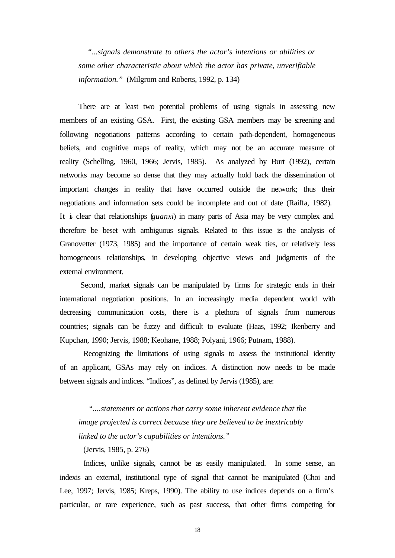*"...signals demonstrate to others the actor's intentions or abilities or some other characteristic about which the actor has private, unverifiable information."* (Milgrom and Roberts, 1992, p. 134)

There are at least two potential problems of using signals in assessing new members of an existing GSA. First, the existing GSA members may be screening and following negotiations patterns according to certain path-dependent, homogeneous beliefs, and cognitive maps of reality, which may not be an accurate measure of reality (Schelling, 1960, 1966; Jervis, 1985). As analyzed by Burt (1992), certain networks may become so dense that they may actually hold back the dissemination of important changes in reality that have occurred outside the network; thus their negotiations and information sets could be incomplete and out of date (Raiffa, 1982). It is clear that relationships (*guanxi*) in many parts of Asia may be very complex and therefore be beset with ambiguous signals. Related to this issue is the analysis of Granovetter (1973, 1985) and the importance of certain weak ties, or relatively less homogeneous relationships, in developing objective views and judgments of the external environment.

 Second, market signals can be manipulated by firms for strategic ends in their international negotiation positions. In an increasingly media dependent world with decreasing communication costs, there is a plethora of signals from numerous countries; signals can be fuzzy and difficult to evaluate (Haas, 1992; Ikenberry and Kupchan, 1990; Jervis, 1988; Keohane, 1988; Polyani, 1966; Putnam, 1988).

Recognizing the limitations of using signals to assess the institutional identity of an applicant, GSAs may rely on indices. A distinction now needs to be made between signals and indices. "Indices", as defined by Jervis (1985), are:

 *"....statements or actions that carry some inherent evidence that the image projected is correct because they are believed to be inextricably linked to the actor's capabilities or intentions."*

(Jervis, 1985, p. 276)

Indices, unlike signals, cannot be as easily manipulated. In some sense, an indexis an external, institutional type of signal that cannot be manipulated (Choi and Lee, 1997; Jervis, 1985; Kreps, 1990). The ability to use indices depends on a firm's particular, or rare experience, such as past success, that other firms competing for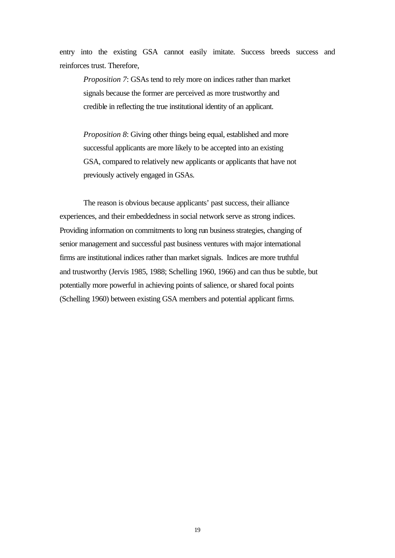entry into the existing GSA cannot easily imitate. Success breeds success and reinforces trust. Therefore,

*Proposition 7*: GSAs tend to rely more on indices rather than market signals because the former are perceived as more trustworthy and credible in reflecting the true institutional identity of an applicant.

*Proposition 8*: Giving other things being equal, established and more successful applicants are more likely to be accepted into an existing GSA, compared to relatively new applicants or applicants that have not previously actively engaged in GSAs.

The reason is obvious because applicants' past success, their alliance experiences, and their embeddedness in social network serve as strong indices. Providing information on commitments to long run business strategies, changing of senior management and successful past business ventures with major international firms are institutional indices rather than market signals. Indices are more truthful and trustworthy (Jervis 1985, 1988; Schelling 1960, 1966) and can thus be subtle, but potentially more powerful in achieving points of salience, or shared focal points (Schelling 1960) between existing GSA members and potential applicant firms.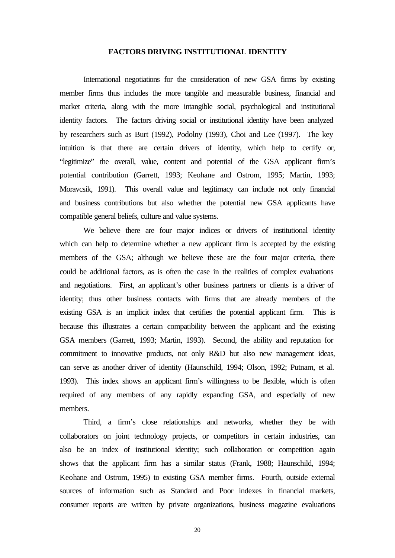## **FACTORS DRIVING INSTITUTIONAL IDENTITY**

International negotiations for the consideration of new GSA firms by existing member firms thus includes the more tangible and measurable business, financial and market criteria, along with the more intangible social, psychological and institutional identity factors. The factors driving social or institutional identity have been analyzed by researchers such as Burt (1992), Podolny (1993), Choi and Lee (1997). The key intuition is that there are certain drivers of identity, which help to certify or, "legitimize" the overall, value, content and potential of the GSA applicant firm's potential contribution (Garrett, 1993; Keohane and Ostrom, 1995; Martin, 1993; Moravcsik, 1991). This overall value and legitimacy can include not only financial and business contributions but also whether the potential new GSA applicants have compatible general beliefs, culture and value systems.

We believe there are four major indices or drivers of institutional identity which can help to determine whether a new applicant firm is accepted by the existing members of the GSA; although we believe these are the four major criteria, there could be additional factors, as is often the case in the realities of complex evaluations and negotiations. First, an applicant's other business partners or clients is a driver of identity; thus other business contacts with firms that are already members of the existing GSA is an implicit index that certifies the potential applicant firm. This is because this illustrates a certain compatibility between the applicant and the existing GSA members (Garrett, 1993; Martin, 1993). Second, the ability and reputation for commitment to innovative products, not only R&D but also new management ideas, can serve as another driver of identity (Haunschild, 1994; Olson, 1992; Putnam, et al. 1993). This index shows an applicant firm's willingness to be flexible, which is often required of any members of any rapidly expanding GSA, and especially of new members.

Third, a firm's close relationships and networks, whether they be with collaborators on joint technology projects, or competitors in certain industries, can also be an index of institutional identity; such collaboration or competition again shows that the applicant firm has a similar status (Frank, 1988; Haunschild, 1994; Keohane and Ostrom, 1995) to existing GSA member firms. Fourth, outside external sources of information such as Standard and Poor indexes in financial markets, consumer reports are written by private organizations, business magazine evaluations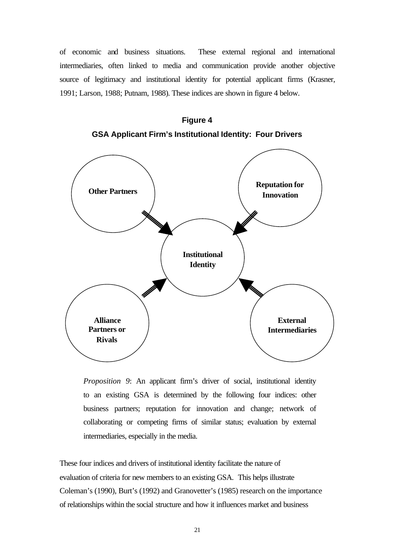of economic and business situations.These external regional and international intermediaries, often linked to media and communication provide another objective source of legitimacy and institutional identity for potential applicant firms (Krasner, 1991; Larson, 1988; Putnam, 1988). These indices are shown in figure 4 below.



**Figure 4 GSA Applicant Firm's Institutional Identity: Four Drivers**

*Proposition 9*: An applicant firm's driver of social, institutional identity to an existing GSA is determined by the following four indices: other business partners; reputation for innovation and change; network of collaborating or competing firms of similar status; evaluation by external intermediaries, especially in the media.

These four indices and drivers of institutional identity facilitate the nature of evaluation of criteria for new members to an existing GSA.This helps illustrate Coleman's (1990), Burt's (1992) and Granovetter's (1985) research on the importance of relationships within the social structure and how it influences market and business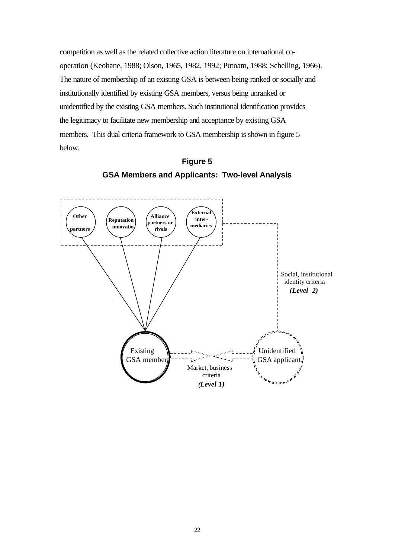competition as well as the related collective action literature on international cooperation (Keohane, 1988; Olson, 1965, 1982, 1992; Putnam, 1988; Schelling, 1966). The nature of membership of an existing GSA is between being ranked or socially and institutionally identified by existing GSA members, versus being unranked or unidentified by the existing GSA members. Such institutional identification provides the legitimacy to facilitate new membership and acceptance by existing GSA members. This dual criteria framework to GSA membership is shown in figure 5 below.



criteria *(Level 1)*

**Figure 5 GSA Members and Applicants: Two-level Analysis**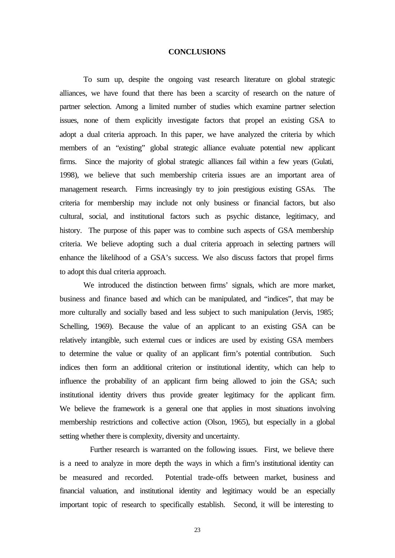#### **CONCLUSIONS**

To sum up, despite the ongoing vast research literature on global strategic alliances, we have found that there has been a scarcity of research on the nature of partner selection. Among a limited number of studies which examine partner selection issues, none of them explicitly investigate factors that propel an existing GSA to adopt a dual criteria approach. In this paper, we have analyzed the criteria by which members of an "existing" global strategic alliance evaluate potential new applicant firms. Since the majority of global strategic alliances fail within a few years (Gulati, 1998), we believe that such membership criteria issues are an important area of management research. Firms increasingly try to join prestigious existing GSAs. The criteria for membership may include not only business or financial factors, but also cultural, social, and institutional factors such as psychic distance, legitimacy, and history. The purpose of this paper was to combine such aspects of GSA membership criteria. We believe adopting such a dual criteria approach in selecting partners will enhance the likelihood of a GSA's success. We also discuss factors that propel firms to adopt this dual criteria approach.

We introduced the distinction between firms' signals, which are more market, business and finance based and which can be manipulated, and "indices", that may be more culturally and socially based and less subject to such manipulation (Jervis, 1985; Schelling, 1969). Because the value of an applicant to an existing GSA can be relatively intangible, such external cues or indices are used by existing GSA members to determine the value or quality of an applicant firm's potential contribution. Such indices then form an additional criterion or institutional identity, which can help to influence the probability of an applicant firm being allowed to join the GSA; such institutional identity drivers thus provide greater legitimacy for the applicant firm. We believe the framework is a general one that applies in most situations involving membership restrictions and collective action (Olson, 1965), but especially in a global setting whether there is complexity, diversity and uncertainty.

 Further research is warranted on the following issues. First, we believe there is a need to analyze in more depth the ways in which a firm's institutional identity can be measured and recorded. Potential trade-offs between market, business and financial valuation, and institutional identity and legitimacy would be an especially important topic of research to specifically establish. Second, it will be interesting to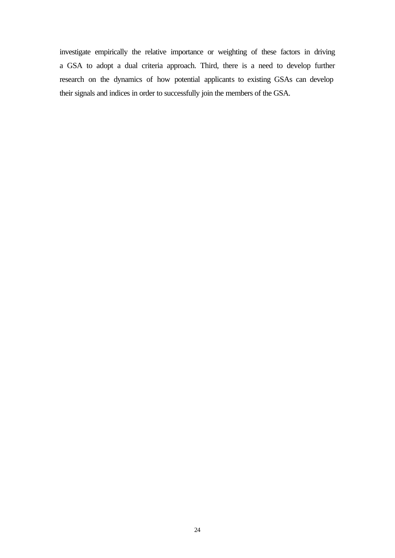investigate empirically the relative importance or weighting of these factors in driving a GSA to adopt a dual criteria approach. Third, there is a need to develop further research on the dynamics of how potential applicants to existing GSAs can develop their signals and indices in order to successfully join the members of the GSA.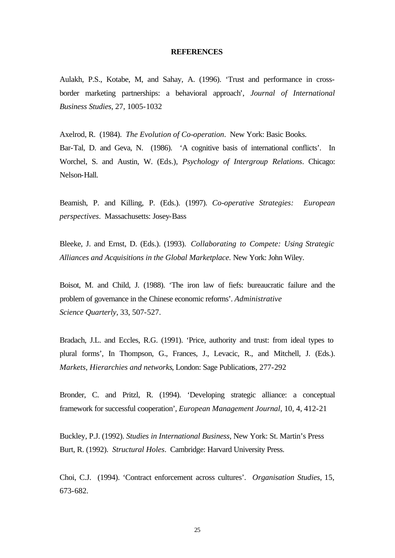#### **REFERENCES**

Aulakh, P.S., Kotabe, M, and Sahay, A. (1996). 'Trust and performance in crossborder marketing partnerships: a behavioral approach', *Journal of International Business Studies,* 27, 1005-1032

Axelrod, R. (1984). *The Evolution of Co-operation*. New York: Basic Books. Bar-Tal, D. and Geva, N. (1986). 'A cognitive basis of international conflicts'. In Worchel, S. and Austin, W. (Eds.), *Psychology of Intergroup Relations*. Chicago: Nelson-Hall.

Beamish, P. and Killing, P. (Eds.). (1997). *Co-operative Strategies: European perspectives*. Massachusetts: Josey-Bass

Bleeke, J. and Ernst, D. (Eds.). (1993). *Collaborating to Compete: Using Strategic Alliances and Acquisitions in the Global Marketplace.* New York: John Wiley.

Boisot, M. and Child, J. (1988). 'The iron law of fiefs: bureaucratic failure and the problem of governance in the Chinese economic reforms'. *Administrative Science Quarterly,* 33, 507-527.

Bradach, J.L. and Eccles, R.G. (1991). 'Price, authority and trust: from ideal types to plural forms', In Thompson, G., Frances, J., Levacic, R., and Mitchell, J. (Eds.). *Markets, Hierarchies and networks*, London: Sage Publications, 277-292

Bronder, C. and Pritzl, R. (1994). 'Developing strategic alliance: a conceptual framework for successful cooperation', *European Management Journal*, 10, 4, 412-21

Buckley, P.J. (1992). *Studies in International Business*, New York: St. Martin's Press Burt, R. (1992). *Structural Holes*. Cambridge: Harvard University Press.

Choi, C.J. (1994). 'Contract enforcement across cultures'. *Organisation Studies*, 15, 673-682.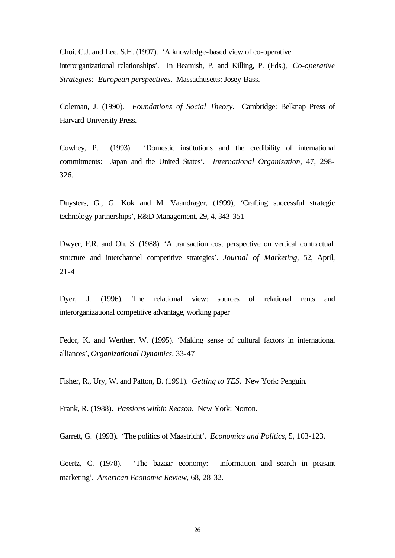Choi, C.J. and Lee, S.H. (1997). 'A knowledge-based view of co-operative interorganizational relationships'. In Beamish, P. and Killing, P. (Eds.), *Co-operative Strategies: European perspectives*. Massachusetts: Josey-Bass.

Coleman, J. (1990). *Foundations of Social Theory*. Cambridge: Belknap Press of Harvard University Press.

Cowhey, P. (1993). 'Domestic institutions and the credibility of international commitments: Japan and the United States'. *International Organisation*, 47, 298- 326.

Duysters, G., G. Kok and M. Vaandrager, (1999), 'Crafting successful strategic technology partnerships', R&D Management, 29, 4, 343-351

Dwyer, F.R. and Oh, S. (1988). 'A transaction cost perspective on vertical contractual structure and interchannel competitive strategies'. *Journal of Marketing*, 52, April, 21-4

Dyer, J. (1996). The relational view: sources of relational rents and interorganizational competitive advantage, working paper

Fedor, K. and Werther, W. (1995). 'Making sense of cultural factors in international alliances', *Organizational Dynamics*, 33-47

Fisher, R., Ury, W. and Patton, B. (1991). *Getting to YES*. New York: Penguin.

Frank, R. (1988). *Passions within Reason*. New York: Norton.

Garrett, G. (1993). 'The politics of Maastricht'. *Economics and Politics*, 5, 103-123.

Geertz, C. (1978). 'The bazaar economy: information and search in peasant marketing'. *American Economic Review,* 68, 28-32.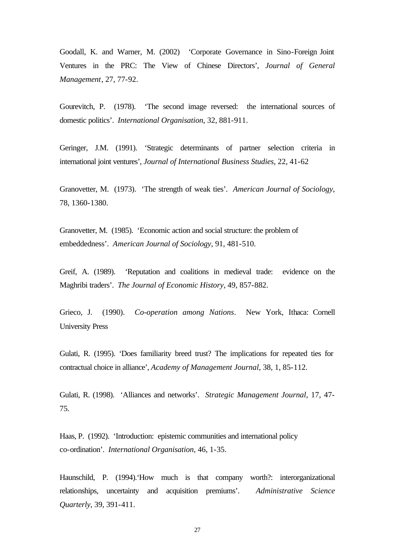Goodall, K. and Warner, M. (2002) 'Corporate Governance in Sino-Foreign Joint Ventures in the PRC: The View of Chinese Directors', *Journal of General Management*, 27, 77-92.

Gourevitch, P. (1978). 'The second image reversed: the international sources of domestic politics'. *International Organisation*, 32, 881-911.

Geringer, J.M. (1991). 'Strategic determinants of partner selection criteria in international joint ventures', *Journal of International Business Studies*, 22, 41-62

Granovetter, M. (1973). 'The strength of weak ties'. *American Journal of Sociology*, 78, 1360-1380.

Granovetter, M. (1985). 'Economic action and social structure: the problem of embeddedness'. *American Journal of Sociology*, 91, 481-510.

Greif, A. (1989). 'Reputation and coalitions in medieval trade: evidence on the Maghribi traders'. *The Journal of Economic History,* 49, 857-882.

Grieco, J. (1990). *Co-operation among Nations*. New York, Ithaca: Cornell University Press

Gulati, R. (1995). 'Does familiarity breed trust? The implications for repeated ties for contractual choice in alliance', *Academy of Management Journal*, 38, 1, 85-112.

Gulati, R. (1998). 'Alliances and networks'. *Strategic Management Journal*, 17, 47- 75.

Haas, P. (1992). 'Introduction: epistemic communities and international policy co-ordination'. *International Organisation*, 46, 1-35.

Haunschild, P. (1994).'How much is that company worth?: interorganizational relationships, uncertainty and acquisition premiums'. *Administrative Science Quarterly*, 39, 391-411.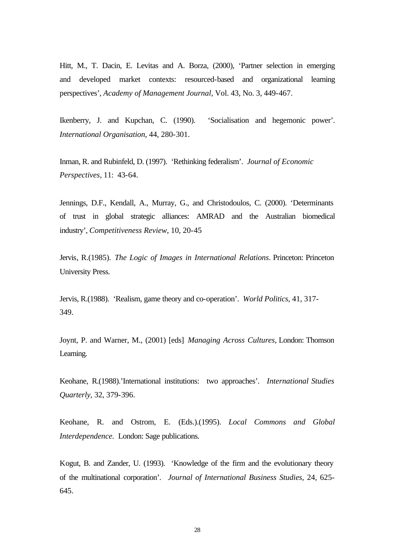Hitt, M., T. Dacin, E. Levitas and A. Borza, (2000), 'Partner selection in emerging and developed market contexts: resourced-based and organizational learning perspectives', *Academy of Management Journal*, Vol. 43, No. 3, 449-467.

Ikenberry, J. and Kupchan, C. (1990). 'Socialisation and hegemonic power'. *International Organisation*, 44, 280-301.

Inman, R. and Rubinfeld, D. (1997). 'Rethinking federalism'. *Journal of Economic Perspectives*, 11: 43-64.

Jennings, D.F., Kendall, A., Murray, G., and Christodoulos, C. (2000). 'Determinants of trust in global strategic alliances: AMRAD and the Australian biomedical industry', *Competitiveness Review*, 10, 20-45

Jervis, R.(1985). *The Logic of Images in International Relations*. Princeton: Princeton University Press.

Jervis, R.(1988). 'Realism, game theory and co-operation'. *World Politics*, 41, 317- 349.

Joynt, P. and Warner, M., (2001) [eds] *Managing Across Cultures*, London: Thomson Learning.

Keohane, R.(1988).'International institutions: two approaches'. *International Studies Quarterly*, 32, 379-396.

Keohane, R. and Ostrom, E. (Eds.).(1995). *Local Commons and Global Interdependence.* London: Sage publications.

Kogut, B. and Zander, U. (1993). 'Knowledge of the firm and the evolutionary theory of the multinational corporation'. *Journal of International Business Studies*, 24, 625- 645.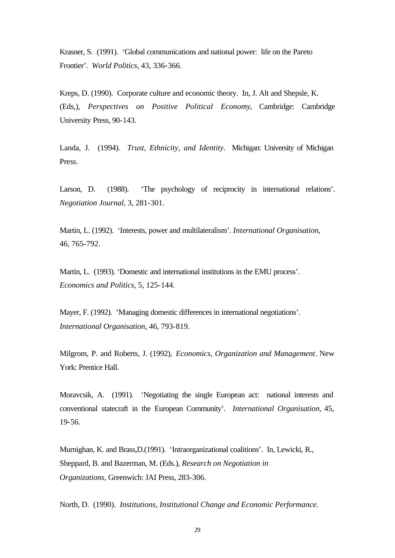Krasner, S. (1991). 'Global communications and national power: life on the Pareto Frontier'. *World Politics*, 43, 336-366.

Kreps, D. (1990). Corporate culture and economic theory. In, J. Alt and Shepsle, K. (Eds,), *Perspectives on Positive Political Economy*, Cambridge: Cambridge University Press, 90-143.

Landa, J. (1994). *Trust, Ethnicity, and Identity.* Michigan: University of Michigan Press.

Larson, D. (1988). 'The psychology of reciprocity in international relations'. *Negotiation Journal*, 3, 281-301.

Martin, L. (1992). 'Interests, power and multilateralism'. *International Organisation*, 46, 765-792.

Martin, L. (1993). 'Domestic and international institutions in the EMU process'. *Economics and Politics*, 5, 125-144.

Mayer, F. (1992). 'Managing domestic differences in international negotiations'. *International Organisation*, 46, 793-819.

Milgrom, P. and Roberts, J. (1992), *Economics, Organization and Management*. New York: Prentice Hall.

Moravcsik, A. (1991). 'Negotiating the single European act: national interests and conventional statecraft in the European Community'. *International Organisation*, 45, 19-56.

Murnighan, K. and Brass,D.(1991). 'Intraorganizational coalitions'. In, Lewicki, R., Sheppard, B. and Bazerman, M. (Eds.), *Research on Negotiation in Organizations*, Greenwich: JAI Press, 283-306.

North, D. (1990). *Institutions, Institutional Change and Economic Performance.*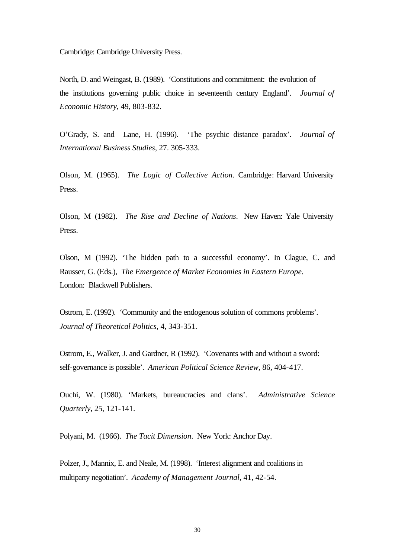Cambridge: Cambridge University Press.

North, D. and Weingast, B. (1989). 'Constitutions and commitment: the evolution of the institutions governing public choice in seventeenth century England'. *Journal of Economic History*, 49, 803-832.

O'Grady, S. and Lane, H. (1996). 'The psychic distance paradox'. *Journal of International Business Studies*, 27. 305-333.

Olson, M. (1965). *The Logic of Collective Action*. Cambridge: Harvard University Press.

Olson, M (1982). *The Rise and Decline of Nations*. New Haven: Yale University Press.

Olson, M (1992). 'The hidden path to a successful economy'. In Clague, C. and Rausser, G. (Eds.), *The Emergence of Market Economies in Eastern Europe.* London: Blackwell Publishers.

Ostrom, E. (1992). 'Community and the endogenous solution of commons problems'. *Journal of Theoretical Politics*, 4, 343-351.

Ostrom, E., Walker, J. and Gardner, R (1992). 'Covenants with and without a sword: self-governance is possible'. *American Political Science Review*, 86, 404-417.

Ouchi, W. (1980). 'Markets, bureaucracies and clans'. *Administrative Science Quarterly,* 25, 121-141.

Polyani, M. (1966). *The Tacit Dimension*. New York: Anchor Day.

Polzer, J., Mannix, E. and Neale, M. (1998). 'Interest alignment and coalitions in multiparty negotiation'. *Academy of Management Journal,* 41, 42-54.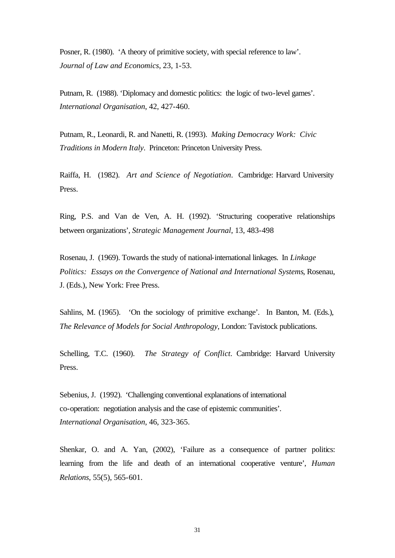Posner, R. (1980). 'A theory of primitive society, with special reference to law'. *Journal of Law and Economics*, 23, 1-53.

Putnam, R. (1988). 'Diplomacy and domestic politics: the logic of two-level games'. *International Organisation*, 42, 427-460.

Putnam, R., Leonardi, R. and Nanetti, R. (1993). *Making Democracy Work: Civic Traditions in Modern Italy*. Princeton: Princeton University Press.

Raiffa, H. (1982). *Art and Science of Negotiation*. Cambridge: Harvard University Press.

Ring, P.S. and Van de Ven, A. H. (1992). 'Structuring cooperative relationships between organizations', *Strategic Management Journal*, 13, 483-498

Rosenau, J. (1969). Towards the study of national-international linkages. In *Linkage Politics: Essays on the Convergence of National and International Systems*, Rosenau, J. (Eds.), New York: Free Press.

Sahlins, M. (1965). 'On the sociology of primitive exchange'. In Banton, M. (Eds.), *The Relevance of Models for Social Anthropology*, London: Tavistock publications.

Schelling, T.C. (1960). *The Strategy of Conflict.* Cambridge: Harvard University Press.

Sebenius, J. (1992). 'Challenging conventional explanations of international co-operation: negotiation analysis and the case of epistemic communities'. *International Organisation*, 46, 323-365.

Shenkar, O. and A. Yan, (2002), 'Failure as a consequence of partner politics: learning from the life and death of an international cooperative venture', *Human Relations*, 55(5), 565-601.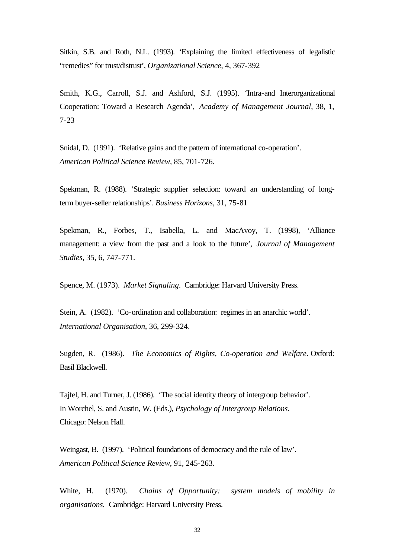Sitkin, S.B. and Roth, N.L. (1993). 'Explaining the limited effectiveness of legalistic "remedies" for trust/distrust', *Organizational Science*, 4, 367-392

Smith, K.G., Carroll, S.J. and Ashford, S.J. (1995). 'Intra-and Interorganizational Cooperation: Toward a Research Agenda', *Academy of Management Journal*, 38, 1, 7-23

Snidal, D. (1991). 'Relative gains and the pattern of international co-operation'. *American Political Science Review,* 85, 701-726.

Spekman, R. (1988). 'Strategic supplier selection: toward an understanding of longterm buyer-seller relationships'. *Business Horizons*, 31, 75-81

Spekman, R., Forbes, T., Isabella, L. and MacAvoy, T. (1998), 'Alliance management: a view from the past and a look to the future', *Journal of Management Studies*, 35, 6, 747-771.

Spence, M. (1973). *Market Signaling*. Cambridge: Harvard University Press.

Stein, A. (1982). 'Co-ordination and collaboration: regimes in an anarchic world'. *International Organisation*, 36, 299-324.

Sugden, R. (1986). *The Economics of Rights, Co-operation and Welfare*. Oxford: Basil Blackwell.

Tajfel, H. and Turner, J. (1986). 'The social identity theory of intergroup behavior'. In Worchel, S. and Austin, W. (Eds.), *Psychology of Intergroup Relations*. Chicago: Nelson Hall.

Weingast, B. (1997). 'Political foundations of democracy and the rule of law'. *American Political Science Review*, 91, 245-263.

White, H. (1970). *Chains of Opportunity: system models of mobility in organisations.* Cambridge: Harvard University Press.